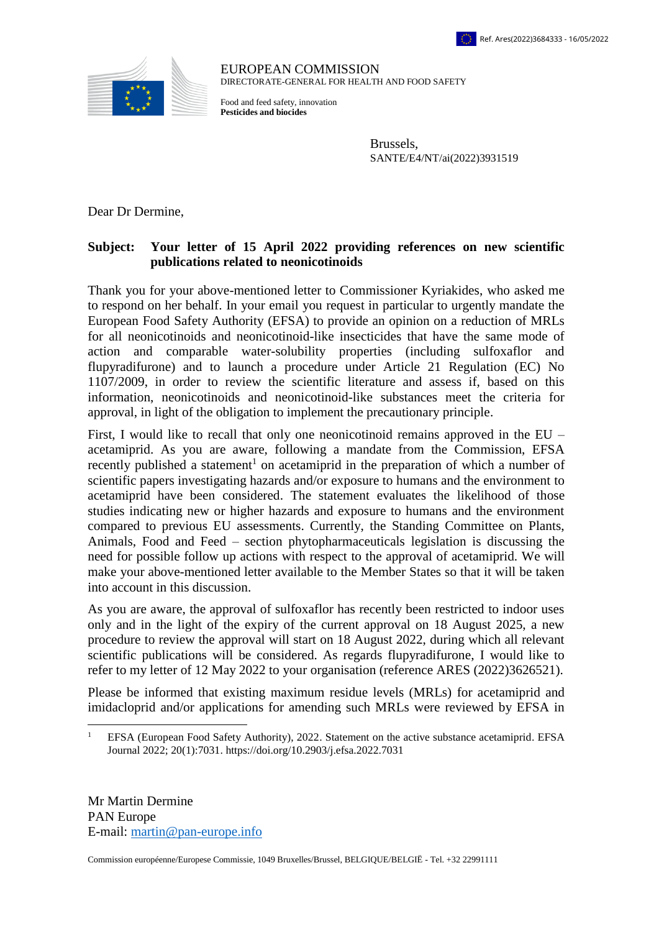

EUROPEAN COMMISSION DIRECTORATE-GENERAL FOR HEALTH AND FOOD SAFETY

Food and feed safety, innovation **Pesticides and biocides**

> Brussels, SANTE/E4/NT/ai(2022)3931519

Dear Dr Dermine,

## **Subject: Your letter of 15 April 2022 providing references on new scientific publications related to neonicotinoids**

Thank you for your above-mentioned letter to Commissioner Kyriakides, who asked me to respond on her behalf. In your email you request in particular to urgently mandate the European Food Safety Authority (EFSA) to provide an opinion on a reduction of MRLs for all neonicotinoids and neonicotinoid-like insecticides that have the same mode of action and comparable water-solubility properties (including sulfoxaflor and flupyradifurone) and to launch a procedure under Article 21 Regulation (EC) No 1107/2009, in order to review the scientific literature and assess if, based on this information, neonicotinoids and neonicotinoid-like substances meet the criteria for approval, in light of the obligation to implement the precautionary principle.

First, I would like to recall that only one neonicotinoid remains approved in the EU – acetamiprid. As you are aware, following a mandate from the Commission, EFSA recently published a statement<sup>1</sup> on acetamiprid in the preparation of which a number of scientific papers investigating hazards and/or exposure to humans and the environment to acetamiprid have been considered. The statement evaluates the likelihood of those studies indicating new or higher hazards and exposure to humans and the environment compared to previous EU assessments. Currently, the Standing Committee on Plants, Animals, Food and Feed – section phytopharmaceuticals legislation is discussing the need for possible follow up actions with respect to the approval of acetamiprid. We will make your above-mentioned letter available to the Member States so that it will be taken into account in this discussion.

As you are aware, the approval of sulfoxaflor has recently been restricted to indoor uses only and in the light of the expiry of the current approval on 18 August 2025, a new procedure to review the approval will start on 18 August 2022, during which all relevant scientific publications will be considered. As regards flupyradifurone, I would like to refer to my letter of 12 May 2022 to your organisation (reference ARES (2022)3626521).

Please be informed that existing maximum residue levels (MRLs) for acetamiprid and imidacloprid and/or applications for amending such MRLs were reviewed by EFSA in

Mr Martin Dermine PAN Europe E-mail: [martin@pan-europe.info](mailto:martin@pan-europe.info)

 $\overline{a}$ 

Commission européenne/Europese Commissie, 1049 Bruxelles/Brussel, BELGIQUE/BELGIË - Tel. +32 22991111

<sup>&</sup>lt;sup>1</sup> EFSA (European Food Safety Authority), 2022. Statement on the active substance acetamiprid. EFSA Journal 2022; 20(1):7031. https://doi.org/10.2903/j.efsa.2022.7031